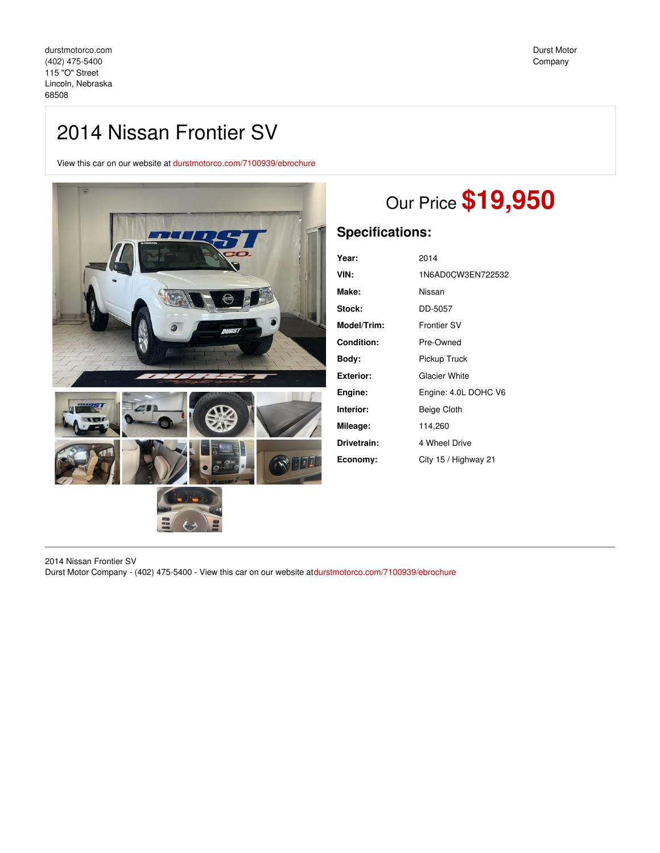# 2014 Nissan Frontier SV

View this car on our website at [durstmotorco.com/7100939/ebrochure](https://durstmotorco.com/vehicle/7100939/2014-nissan-frontier-sv-lincoln-nebraska-68508/7100939/ebrochure)



# Our Price **\$19,950**

# **Specifications:**

| 2014                 |
|----------------------|
| 1N6AD0CW3EN722532    |
| Nissan               |
| DD-5057              |
| <b>Frontier SV</b>   |
| Pre-Owned            |
| Pickup Truck         |
| <b>Glacier White</b> |
| Engine: 4.0L DOHC V6 |
| Beige Cloth          |
| 114,260              |
| 4 Wheel Drive        |
| City 15 / Highway 21 |
|                      |

2014 Nissan Frontier SV Durst Motor Company - (402) 475-5400 - View this car on our website at[durstmotorco.com/7100939/ebrochure](https://durstmotorco.com/vehicle/7100939/2014-nissan-frontier-sv-lincoln-nebraska-68508/7100939/ebrochure)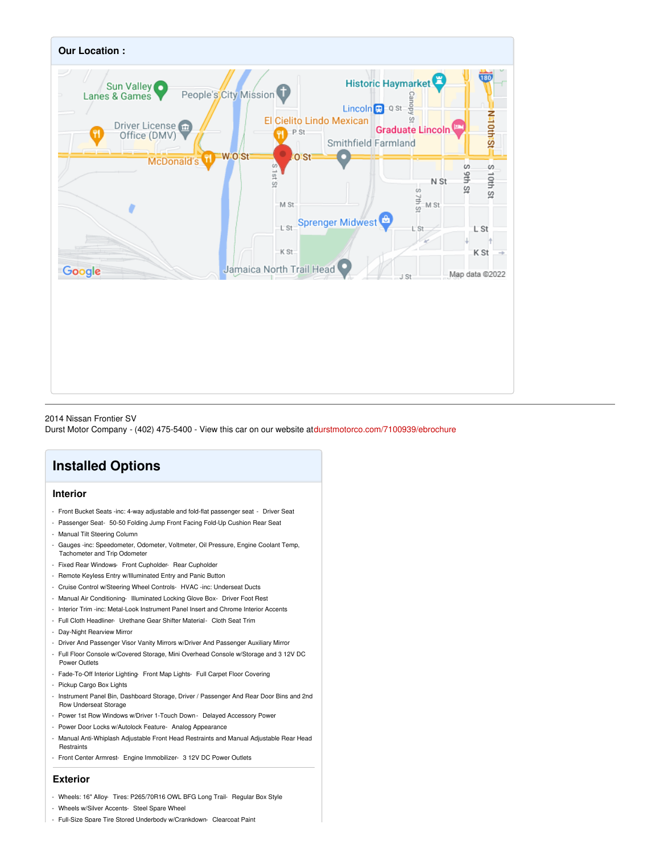

## 2014 Nissan Frontier SV

Durst Motor Company - (402) 475-5400 - View this car on our website at[durstmotorco.com/7100939/ebrochure](https://durstmotorco.com/vehicle/7100939/2014-nissan-frontier-sv-lincoln-nebraska-68508/7100939/ebrochure)

# **Installed Options**

# **Interior**

- Front Bucket Seats -inc: 4-way adjustable and fold-flat passenger seat Driver Seat
- Passenger Seat- 50-50 Folding Jump Front Facing Fold-Up Cushion Rear Seat
- Manual Tilt Steering Column
- Gauges -inc: Speedometer, Odometer, Voltmeter, Oil Pressure, Engine Coolant Temp, Tachometer and Trip Odometer
- Fixed Rear Windows- Front Cupholder- Rear Cupholder
- Remote Keyless Entry w/Illuminated Entry and Panic Button
- Cruise Control w/Steering Wheel Controls- HVAC -inc: Underseat Ducts
- Manual Air Conditioning- Illuminated Locking Glove Box- Driver Foot Rest
- Interior Trim -inc: Metal-Look Instrument Panel Insert and Chrome Interior Accents
- Full Cloth Headliner- Urethane Gear Shifter Material- Cloth Seat Trim
- Day-Night Rearview Mirror
- Driver And Passenger Visor Vanity Mirrors w/Driver And Passenger Auxiliary Mirror
- Full Floor Console w/Covered Storage, Mini Overhead Console w/Storage and 3 12V DC Power Outlets
- Fade-To-Off Interior Lighting- Front Map Lights- Full Carpet Floor Covering
- Pickup Cargo Box Lights
- Instrument Panel Bin, Dashboard Storage, Driver / Passenger And Rear Door Bins and 2nd Row Underseat Storage
- Power 1st Row Windows w/Driver 1-Touch Down Delayed Accessory Power
- Power Door Locks w/Autolock Feature- Analog Appearance
- Manual Anti-Whiplash Adjustable Front Head Restraints and Manual Adjustable Rear Head **Restraints**
- Front Center Armrest- Engine Immobilizer- 3 12V DC Power Outlets

### **Exterior**

- Wheels: 16" Alloy- Tires: P265/70R16 OWL BFG Long Trail- Regular Box Style
- Wheels w/Silver Accents- Steel Spare Wheel
- Full-Size Spare Tire Stored Underbody w/Crankdown- Clearcoat Paint